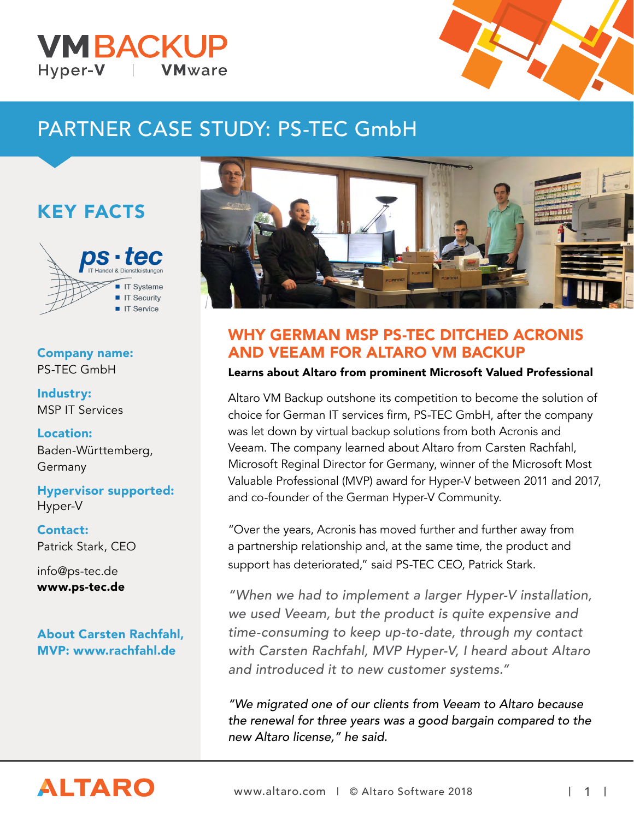## **VMBACKUP** Hyper-V **VM**ware



# PARTNER CASE STUDY: PS-TEC GmbH

# KEY FACTS



### Company name: PS-TEC GmbH

Industry: MSP IT Services

Location: Baden-Württemberg, Germany

Hypervisor supported: Hyper-V

Contact: Patrick Stark, CEO

info@ps-tec.de www.ps-tec.de

About Carsten Rachfahl, MVP: www.rachfahl.de



# WHY GERMAN MSP PS-TEC DITCHED ACRONIS AND VEEAM FOR ALTARO VM BACKUP

#### Learns about Altaro from prominent Microsoft Valued Professional

Altaro VM Backup outshone its competition to become the solution of choice for German IT services firm, PS-TEC GmbH, after the company was let down by virtual backup solutions from both Acronis and Veeam. The company learned about Altaro from Carsten Rachfahl, Microsoft Reginal Director for Germany, winner of the Microsoft Most Valuable Professional (MVP) award for Hyper-V between 2011 and 2017, and co-founder of the German Hyper-V Community.

"Over the years, Acronis has moved further and further away from a partnership relationship and, at the same time, the product and support has deteriorated," said PS-TEC CEO, Patrick Stark.

"When we had to implement a larger Hyper-V installation, we used Veeam, but the product is quite expensive and time-consuming to keep up-to-date, through my contact with Carsten Rachfahl, MVP Hyper-V, I heard about Altaro and introduced it to new customer systems."

"We migrated one of our clients from Veeam to Altaro because the renewal for three years was a good bargain compared to the new Altaro license," he said.

# **ALTARO**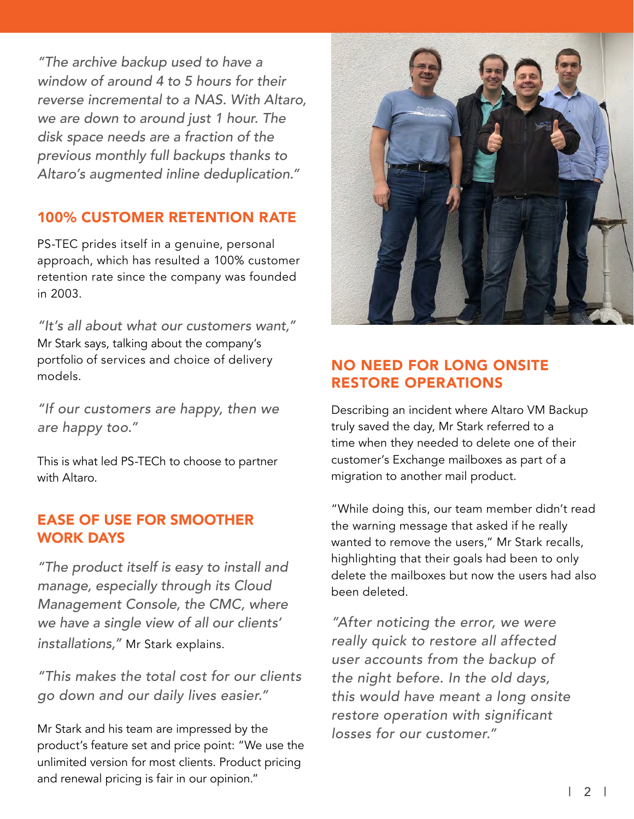"The archive backup used to have a window of around 4 to 5 hours for their reverse incremental to a NAS. With Altaro, we are down to around just 1 hour. The disk space needs are a fraction of the previous monthly full backups thanks to Altaro's augmented inline deduplication."

## 100% CUSTOMER RETENTION RATE

PS-TEC prides itself in a genuine, personal approach, which has resulted a 100% customer retention rate since the company was founded in 2003.

"It's all about what our customers want," Mr Stark says, talking about the company's portfolio of services and choice of delivery models.

"If our customers are happy, then we are happy too."

This is what led PS-TECh to choose to partner with Altaro.

### EASE OF USE FOR SMOOTHER WORK DAYS

"The product itself is easy to install and manage, especially through its Cloud Management Console, the CMC, where we have a single view of all our clients' installations," Mr Stark explains.

"This makes the total cost for our clients go down and our daily lives easier."

Mr Stark and his team are impressed by the product's feature set and price point: "We use the unlimited version for most clients. Product pricing and renewal pricing is fair in our opinion."



# NO NEED FOR LONG ONSITE RESTORE OPERATIONS

Describing an incident where Altaro VM Backup truly saved the day, Mr Stark referred to a time when they needed to delete one of their customer's Exchange mailboxes as part of a migration to another mail product.

"While doing this, our team member didn't read the warning message that asked if he really wanted to remove the users," Mr Stark recalls, highlighting that their goals had been to only delete the mailboxes but now the users had also been deleted.

"After noticing the error, we were really quick to restore all affected user accounts from the backup of the night before. In the old days, this would have meant a long onsite restore operation with significant losses for our customer."